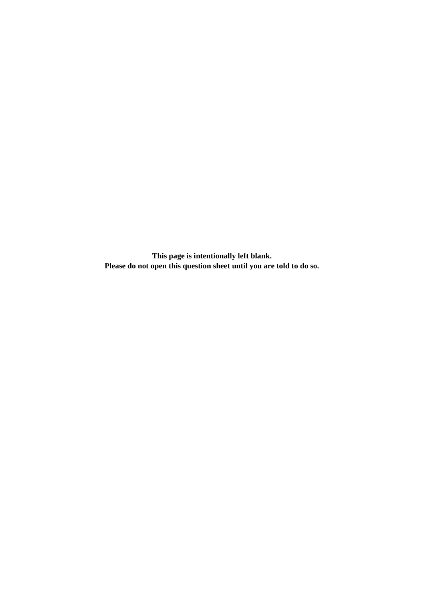**This page is intentionally left blank. Please do not open this question sheet until you are told to do so.**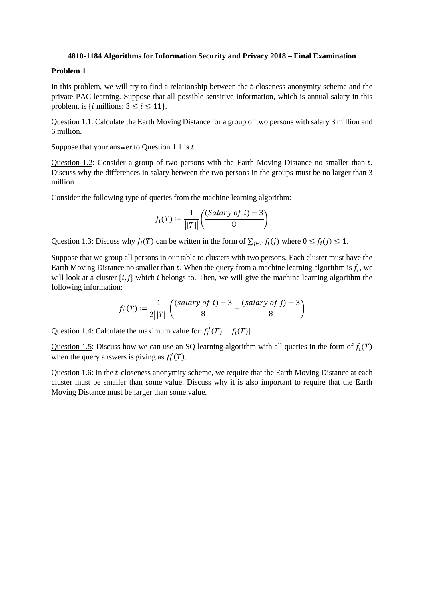#### **4810-1184 Algorithms for Information Security and Privacy 2018 – Final Examination**

# **Problem 1**

In this problem, we will try to find a relationship between the  $t$ -closeness anonymity scheme and the private PAC learning. Suppose that all possible sensitive information, which is annual salary in this problem, is {*i* millions:  $3 \le i \le 11$ }.

Question 1.1: Calculate the Earth Moving Distance for a group of two persons with salary 3 million and 6 million.

Suppose that your answer to Question 1.1 is  $t$ .

Question 1.2: Consider a group of two persons with the Earth Moving Distance no smaller than  $t$ . Discuss why the differences in salary between the two persons in the groups must be no larger than 3 million.

Consider the following type of queries from the machine learning algorithm:

$$
f_i(T) := \frac{1}{||T||} \left( \frac{(Salary\ of\ i) - 3}{8} \right)
$$

Question 1.3: Discuss why  $f_i(T)$  can be written in the form of  $\sum_{j \in T} f_i(j)$  where  $0 \le f_i(j) \le 1$ .

Suppose that we group all persons in our table to clusters with two persons. Each cluster must have the Earth Moving Distance no smaller than  $t$ . When the query from a machine learning algorithm is  $f_i$ , we will look at a cluster  $\{i, j\}$  which *i* belongs to. Then, we will give the machine learning algorithm the following information:

$$
f'_i(T) := \frac{1}{2||T||} \left( \frac{(salary \ of \ i) - 3}{8} + \frac{(salary \ of \ j) - 3}{8} \right)
$$

Question 1.4: Calculate the maximum value for  $|f_i'(T) - f_i(T)|$ 

Question 1.5: Discuss how we can use an SQ learning algorithm with all queries in the form of  $f_i(T)$ when the query answers is giving as  $f'_i(T)$ .

Question 1.6: In the t-closeness anonymity scheme, we require that the Earth Moving Distance at each cluster must be smaller than some value. Discuss why it is also important to require that the Earth Moving Distance must be larger than some value.